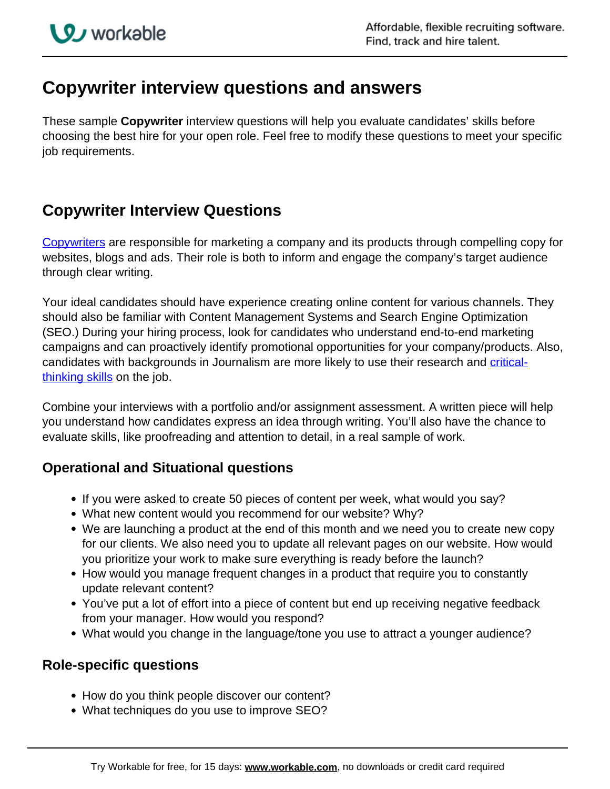# **Copywriter interview questions and answers**

These sample **Copywriter** interview questions will help you evaluate candidates' skills before choosing the best hire for your open role. Feel free to modify these questions to meet your specific job requirements.

## **Copywriter Interview Questions**

[Copywriters](http://resources.workable.com/copywriter-job-description) are responsible for marketing a company and its products through compelling copy for websites, blogs and ads. Their role is both to inform and engage the company's target audience through clear writing.

Your ideal candidates should have experience creating online content for various channels. They should also be familiar with Content Management Systems and Search Engine Optimization (SEO.) During your hiring process, look for candidates who understand end-to-end marketing campaigns and can proactively identify promotional opportunities for your company/products. Also, candidates with backgrounds in Journalism are more likely to use their research and criticalthinking skills on the job.

Combine your interviews with a portfolio and/or assignment assessment. A written piece will help you understand how candidates express an idea through writing. You'll also have the chance to evaluate skills, like proofreading and attention to detail, in a real sample of work.

## **Operational and Situational questions**

- If you were asked to create 50 pieces of content per week, what would you say?
- What new content would you recommend for our website? Why?
- We are launching a product at the end of this month and we need you to create new copy for our clients. We also need you to update all relevant pages on our website. How would you prioritize your work to make sure everything is ready before the launch?
- How would you manage frequent changes in a product that require you to constantly update relevant content?
- You've put a lot of effort into a piece of content but end up receiving negative feedback from your manager. How would you respond?
- What would you change in the language/tone you use to attract a younger audience?

### **Role-specific questions**

- How do you think people discover our content?
- What techniques do you use to improve SEO?